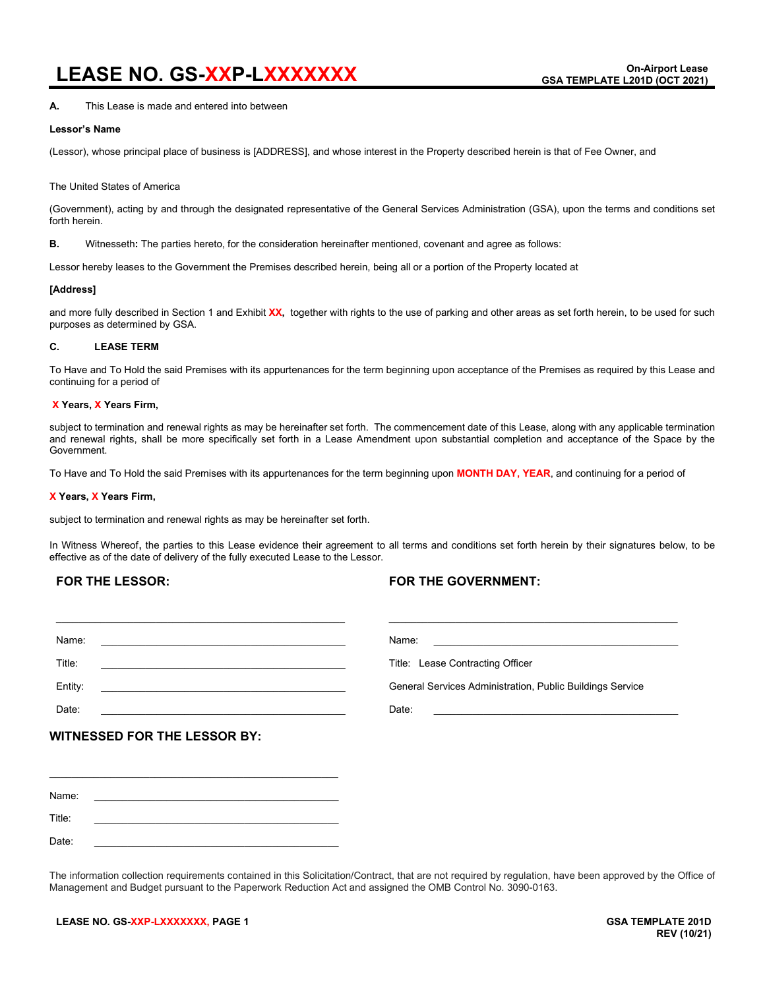# **LEASE NO. GS-XXP-LXXXXXXX** On-Airport Lease

**A.** This Lease is made and entered into between

### **Lessor's Name**

(Lessor), whose principal place of business is [ADDRESS], and whose interest in the Property described herein is that of Fee Owner, and

The United States of America

(Government), acting by and through the designated representative of the General Services Administration (GSA), upon the terms and conditions set forth herein.

**B.** Witnesseth**:** The parties hereto, for the consideration hereinafter mentioned, covenant and agree as follows:

Lessor hereby leases to the Government the Premises described herein, being all or a portion of the Property located at

#### **[Address]**

and more fully described in Section 1 and Exhibit **XX,** together with rights to the use of parking and other areas as set forth herein, to be used for such purposes as determined by GSA.

### **C. LEASE TERM**

To Have and To Hold the said Premises with its appurtenances for the term beginning upon acceptance of the Premises as required by this Lease and continuing for a period of

#### **X Years, X Years Firm,**

subject to termination and renewal rights as may be hereinafter set forth. The commencement date of this Lease, along with any applicable termination and renewal rights, shall be more specifically set forth in a Lease Amendment upon substantial completion and acceptance of the Space by the Government.

To Have and To Hold the said Premises with its appurtenances for the term beginning upon **MONTH DAY, YEAR**, and continuing for a period of

#### **X Years, X Years Firm,**

subject to termination and renewal rights as may be hereinafter set forth.

In Witness Whereof, the parties to this Lease evidence their agreement to all terms and conditions set forth herein by their signatures below, to be effective as of the date of delivery of the fully executed Lease to the Lessor.

## **FOR THE LESSOR:**

# **FOR THE GOVERNMENT:**

| Name:                                                                                                                           | Name:<br><u> 1980 - Andrea Barbara, amerikan basar dan berasal dalam basa dalam basa dalam basa dalam basa dalam basa dala</u> |
|---------------------------------------------------------------------------------------------------------------------------------|--------------------------------------------------------------------------------------------------------------------------------|
| Title:<br><u> 1989 - Johann Stein, marwolaethau a bhann an t-Amhain Aonaichte ann an t-Amhain Aonaichte ann an t-Amhain Aon</u> | Title: Lease Contracting Officer                                                                                               |
| Entity:<br><u> 1989 - Johann Stein, mars an de British Barbara (b. 1989)</u>                                                    | General Services Administration, Public Buildings Service                                                                      |
| Date:                                                                                                                           | Date:<br><u> 1989 - Johann Stein, mars ann an Catharin ann an t-</u>                                                           |
| <b>WITNESSED FOR THE LESSOR BY:</b>                                                                                             |                                                                                                                                |
|                                                                                                                                 |                                                                                                                                |
|                                                                                                                                 |                                                                                                                                |
| Name:<br><u> 1989 - Jan Barnett, mars et al. 1989 - Anna anno 1989 - Anna ann an t-Anna ann an t-Anna ann an t-Anna ann an</u>  |                                                                                                                                |
| Title:                                                                                                                          |                                                                                                                                |

Date: \_\_\_\_\_\_\_\_\_\_\_\_\_\_\_\_\_\_\_\_\_\_\_\_\_\_\_\_\_\_\_\_\_\_\_\_\_\_\_\_\_\_\_\_

The information collection requirements contained in this Solicitation/Contract, that are not required by regulation, have been approved by the Office of Management and Budget pursuant to the Paperwork Reduction Act and assigned the OMB Control No. 3090-0163.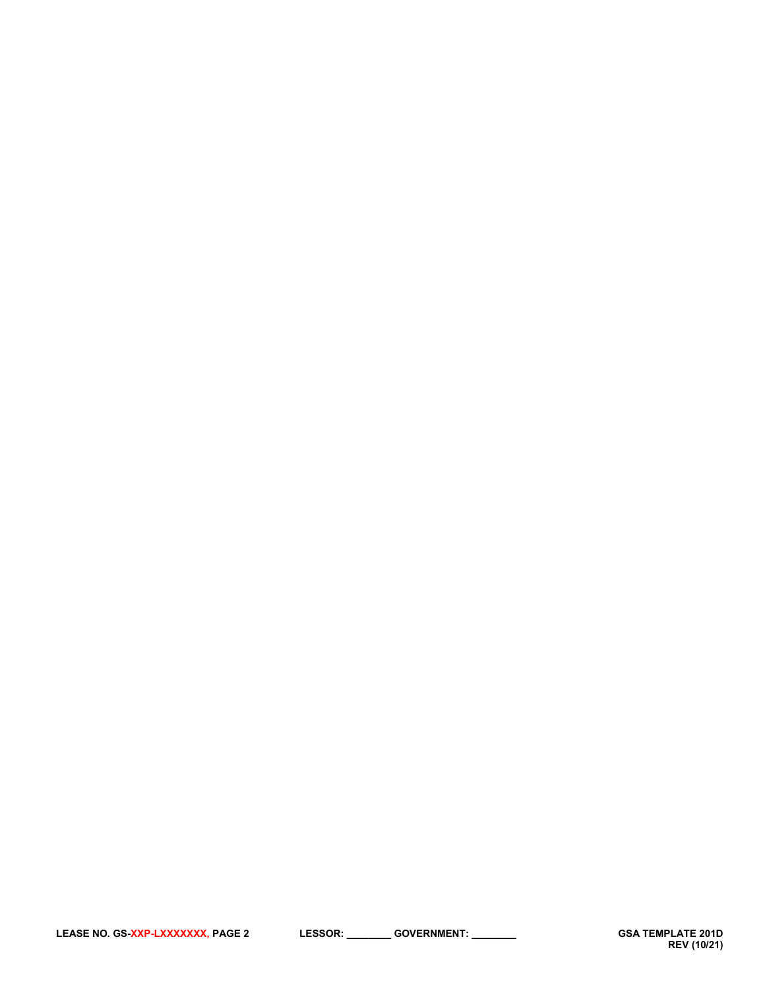**LEASE NO. GS -XX P -LXXXXXXX, PAGE 2**

LESSOR: \_\_\_\_\_\_\_\_\_ GOVERNMENT: \_\_\_\_\_\_\_\_\_\_ GSA TEMPLATE 201D **REV (10/21 )**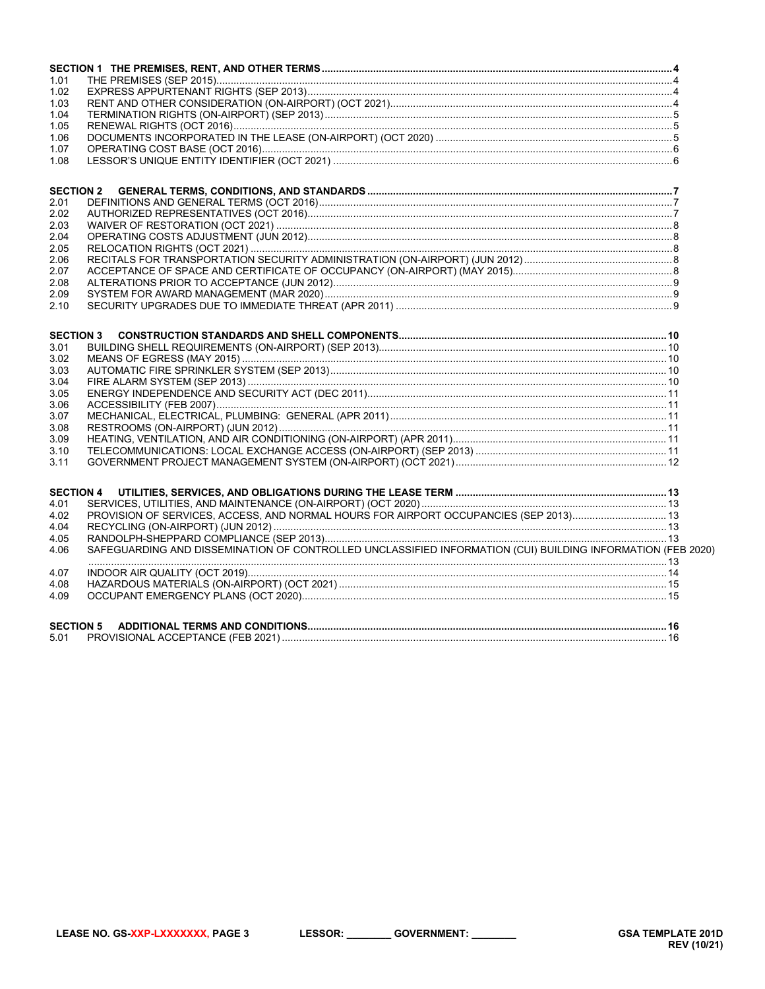| 1.01             |                                                                                                             |  |
|------------------|-------------------------------------------------------------------------------------------------------------|--|
| 1.02             |                                                                                                             |  |
| 1.03             |                                                                                                             |  |
| 1.04             |                                                                                                             |  |
| 1.05             |                                                                                                             |  |
| 1.06             |                                                                                                             |  |
| 1.07             |                                                                                                             |  |
| 1.08             |                                                                                                             |  |
|                  |                                                                                                             |  |
|                  |                                                                                                             |  |
|                  |                                                                                                             |  |
| 2.01             |                                                                                                             |  |
| 2.02             |                                                                                                             |  |
| 2.03             |                                                                                                             |  |
| 2.04             |                                                                                                             |  |
| 2.05             |                                                                                                             |  |
| 2.06             |                                                                                                             |  |
| 2.07             |                                                                                                             |  |
| 2.08             |                                                                                                             |  |
| 2.09             |                                                                                                             |  |
| 2.10             |                                                                                                             |  |
|                  |                                                                                                             |  |
| <b>SECTION 3</b> |                                                                                                             |  |
| 3.01             |                                                                                                             |  |
| 3.02             |                                                                                                             |  |
| 3.03             |                                                                                                             |  |
| 3.04             |                                                                                                             |  |
| 3.05             |                                                                                                             |  |
| 3.06             |                                                                                                             |  |
| 3.07             |                                                                                                             |  |
| 3.08             |                                                                                                             |  |
| 3.09             |                                                                                                             |  |
| 3.10             |                                                                                                             |  |
| 3.11             |                                                                                                             |  |
|                  |                                                                                                             |  |
|                  |                                                                                                             |  |
|                  |                                                                                                             |  |
| 4.01             |                                                                                                             |  |
| 4.02             |                                                                                                             |  |
| 4.04             |                                                                                                             |  |
| 4.05             |                                                                                                             |  |
| 4.06             | SAFEGUARDING AND DISSEMINATION OF CONTROLLED UNCLASSIFIED INFORMATION (CUI) BUILDING INFORMATION (FEB 2020) |  |
| 4.07             |                                                                                                             |  |
| 4.08             |                                                                                                             |  |
| 4.09             |                                                                                                             |  |
|                  |                                                                                                             |  |
|                  |                                                                                                             |  |
| <b>SECTION 5</b> |                                                                                                             |  |
| 5.01             |                                                                                                             |  |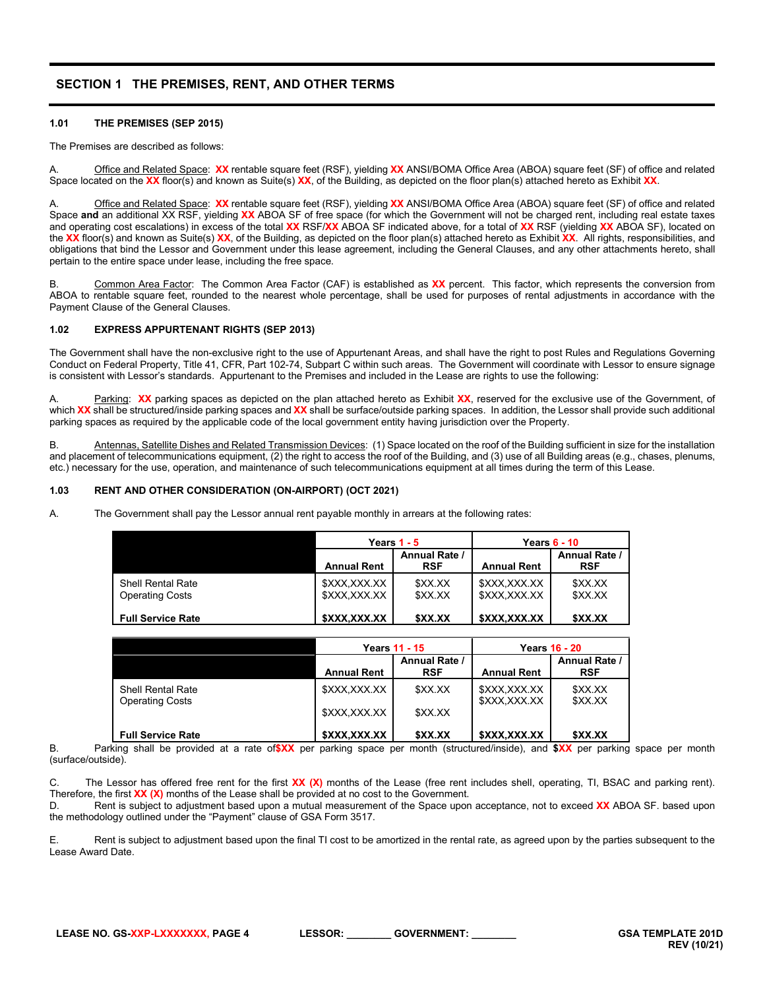# <span id="page-3-0"></span>**SECTION 1 THE PREMISES, RENT, AND OTHER TERMS**

### <span id="page-3-1"></span>**1.01 THE PREMISES (SEP 2015)**

The Premises are described as follows:

A. Office and Related Space: **XX** rentable square feet (RSF), yielding **XX** ANSI/BOMA Office Area (ABOA) square feet (SF) of office and related Space located on the **XX** floor(s) and known as Suite(s) **XX**, of the Building, as depicted on the floor plan(s) attached hereto as Exhibit **XX**.

Office and Related Space: XX rentable square feet (RSF), yielding XX ANSI/BOMA Office Area (ABOA) square feet (SF) of office and related Space and an additional XX RSF, yielding XX ABOA SF of free space (for which the Government will not be charged rent, including real estate taxes and operating cost escalations) in excess of the total **XX** RSF/**XX** ABOA SF indicated above, for a total of **XX** RSF (yielding **XX** ABOA SF), located on the **XX** floor(s) and known as Suite(s) **XX**, of the Building, as depicted on the floor plan(s) attached hereto as Exhibit **XX**. All rights, responsibilities, and obligations that bind the Lessor and Government under this lease agreement, including the General Clauses, and any other attachments hereto, shall pertain to the entire space under lease, including the free space.

B. Common Area Factor: The Common Area Factor (CAF) is established as **XX** percent. This factor, which represents the conversion from ABOA to rentable square feet, rounded to the nearest whole percentage, shall be used for purposes of rental adjustments in accordance with the Payment Clause of the General Clauses.

### <span id="page-3-2"></span>**1.02 EXPRESS APPURTENANT RIGHTS (SEP 2013)**

The Government shall have the non-exclusive right to the use of Appurtenant Areas, and shall have the right to post Rules and Regulations Governing Conduct on Federal Property, Title 41, CFR, Part 102-74, Subpart C within such areas. The Government will coordinate with Lessor to ensure signage is consistent with Lessor's standards. Appurtenant to the Premises and included in the Lease are rights to use the following:

Parking: XX parking spaces as depicted on the plan attached hereto as Exhibit XX, reserved for the exclusive use of the Government, of which XX shall be structured/inside parking spaces and XX shall be surface/outside parking spaces. In addition, the Lessor shall provide such additional parking spaces as required by the applicable code of the local government entity having jurisdiction over the Property.

Antennas, Satellite Dishes and Related Transmission Devices: (1) Space located on the roof of the Building sufficient in size for the installation and placement of telecommunications equipment, (2) the right to access the roof of the Building, and (3) use of all Building areas (e.g., chases, plenums, etc.) necessary for the use, operation, and maintenance of such telecommunications equipment at all times during the term of this Lease.

### <span id="page-3-3"></span>**1.03 RENT AND OTHER CONSIDERATION (ON-AIRPORT) (OCT 2021)**

A. The Government shall pay the Lessor annual rent payable monthly in arrears at the following rates:

|                          |                    | <b>Years 1 - 5</b>                 | <b>Years 6 - 10</b> |                           |  |  |
|--------------------------|--------------------|------------------------------------|---------------------|---------------------------|--|--|
|                          | <b>Annual Rent</b> | <b>Annual Rate /</b><br><b>RSF</b> | <b>Annual Rent</b>  | Annual Rate<br><b>RSF</b> |  |  |
| <b>Shell Rental Rate</b> | \$XXX.XXX.XX       | \$XX.XX                            | \$XXX.XXX.XX        | \$XX.XX                   |  |  |
| <b>Operating Costs</b>   | \$XXX.XXX.XX       | \$XX.XX                            | \$XXX.XXX.XX        | \$XX.XX                   |  |  |
| <b>Full Service Rate</b> | \$XXX.XXX.XX       | \$XX.XX                            | \$XXX.XXX.XX        | \$XX.XX                   |  |  |

|                                                    |                    | <b>Years 11 - 15</b>        | <b>Years 16 - 20</b>         |                             |  |  |
|----------------------------------------------------|--------------------|-----------------------------|------------------------------|-----------------------------|--|--|
|                                                    | <b>Annual Rent</b> | Annual Rate /<br><b>RSF</b> | <b>Annual Rent</b>           | Annual Rate /<br><b>RSF</b> |  |  |
| <b>Shell Rental Rate</b><br><b>Operating Costs</b> | \$XXX.XXX.XX       | \$XX.XX                     | \$XXX,XXX.XX<br>\$XXX.XXX.XX | \$XX.XX<br>\$XX.XX          |  |  |
|                                                    | \$XXX.XXX.XX       | \$XX.XX                     |                              |                             |  |  |
| l Full Service Rate                                | \$XXX,XXX.XX       | \$XX.XX                     | \$XXX,XXX.XX                 | \$XX.XX                     |  |  |

B. Parking shall be provided at a rate of**\$XX** per parking space per month (structured/inside), and **\$XX** per parking space per month (surface/outside).

C. The Lessor has offered free rent for the first **XX (X)** months of the Lease (free rent includes shell, operating, TI, BSAC and parking rent). Therefore, the first **XX (X)** months of the Lease shall be provided at no cost to the Government.

D. Rent is subject to adjustment based upon a mutual measurement of the Space upon acceptance, not to exceed **XX** ABOA SF. based upon the methodology outlined under the "Payment" clause of GSA Form 3517.

E. Rent is subject to adjustment based upon the final TI cost to be amortized in the rental rate, as agreed upon by the parties subsequent to the Lease Award Date.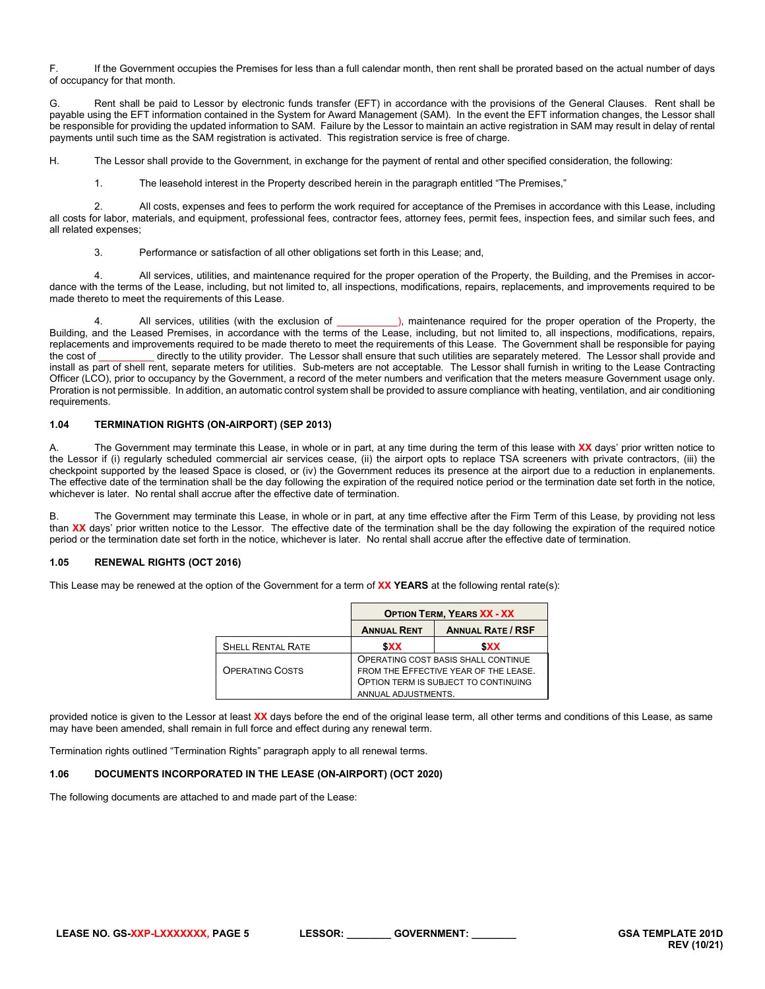F. If the Government occupies the Premises for less than a full calendar month, then rent shall be prorated based on the actual number of days of occupancy for that month.

G. Rent shall be paid to Lessor by electronic funds transfer (EFT) in accordance with the provisions of the General Clauses. Rent shall be payable using the EFT information contained in the System for Award Management (SAM). In the event the EFT information changes, the Lessor shall be responsible for providing the updated information to SAM. Failure by the Lessor to maintain an active registration in SAM may result in delay of rental payments until such time as the SAM registration is activated. This registration service is free of charge.

H. The Lessor shall provide to the Government, in exchange for the payment of rental and other specified consideration, the following:

1. The leasehold interest in the Property described herein in the paragraph entitled "The Premises,"

2. All costs, expenses and fees to perform the work required for acceptance of the Premises in accordance with this Lease, including all costs for labor, materials, and equipment, professional fees, contractor fees, attorney fees, permit fees, inspection fees, and similar such fees, and all related expenses;

3. Performance or satisfaction of all other obligations set forth in this Lease; and,

4. All services, utilities, and maintenance required for the proper operation of the Property, the Building, and the Premises in accordance with the terms of the Lease, including, but not limited to, all inspections, modifications, repairs, replacements, and improvements required to be made thereto to meet the requirements of this Lease.

All services, utilities (with the exclusion of \_\_\_\_\_\_\_\_\_\_\_), maintenance required for the proper operation of the Property, the Building, and the Leased Premises, in accordance with the terms of the Lease, including, but not limited to, all inspections, modifications, repairs, replacements and improvements required to be made thereto to meet the requirements of this Lease. The Government shall be responsible for paying<br>the cost of directly to the utility provider. The Lessor shall ensure that su directly to the utility provider. The Lessor shall ensure that such utilities are separately metered. The Lessor shall provide and install as part of shell rent, separate meters for utilities. Sub-meters are not acceptable. The Lessor shall furnish in writing to the Lease Contracting Officer (LCO), prior to occupancy by the Government, a record of the meter numbers and verification that the meters measure Government usage only. Proration is not permissible. In addition, an automatic control system shall be provided to assure compliance with heating, ventilation, and air conditioning requirements.

### <span id="page-4-0"></span>**1.04 TERMINATION RIGHTS (ON-AIRPORT) (SEP 2013)**

The Government may terminate this Lease, in whole or in part, at any time during the term of this lease with **XX** days' prior written notice to the Lessor if (i) regularly scheduled commercial air services cease, (ii) the airport opts to replace TSA screeners with private contractors, (iii) the checkpoint supported by the leased Space is closed, or (iv) the Government reduces its presence at the airport due to a reduction in enplanements. The effective date of the termination shall be the day following the expiration of the required notice period or the termination date set forth in the notice, whichever is later. No rental shall accrue after the effective date of termination.

B. The Government may terminate this Lease, in whole or in part, at any time effective after the Firm Term of this Lease, by providing not less than **XX** days' prior written notice to the Lessor. The effective date of the termination shall be the day following the expiration of the required notice period or the termination date set forth in the notice, whichever is later. No rental shall accrue after the effective date of termination.

### <span id="page-4-1"></span>**1.05 RENEWAL RIGHTS (OCT 2016)**

This Lease may be renewed at the option of the Government for a term of **XX YEARS** at the following rental rate(s):

|                          | <b>OPTION TERM, YEARS XX - XX</b>                                                                                    |            |  |  |  |
|--------------------------|----------------------------------------------------------------------------------------------------------------------|------------|--|--|--|
|                          | <b>ANNUAL RATE / RSF</b><br><b>ANNUAL RENT</b>                                                                       |            |  |  |  |
| <b>SHELL RENTAL RATE</b> | <b>SXX</b>                                                                                                           | <b>SXX</b> |  |  |  |
| <b>OPERATING COSTS</b>   | OPERATING COST BASIS SHALL CONTINUE<br>FROM THE EFFECTIVE YEAR OF THE LEASE.<br>OPTION TERM IS SUBJECT TO CONTINUING |            |  |  |  |
| ANNUAL ADJUSTMENTS.      |                                                                                                                      |            |  |  |  |

provided notice is given to the Lessor at least **XX** days before the end of the original lease term, all other terms and conditions of this Lease, as same may have been amended, shall remain in full force and effect during any renewal term.

Termination rights outlined "Termination Rights" paragraph apply to all renewal terms.

### <span id="page-4-2"></span>**1.06 DOCUMENTS INCORPORATED IN THE LEASE (ON-AIRPORT) (OCT 2020)**

The following documents are attached to and made part of the Lease: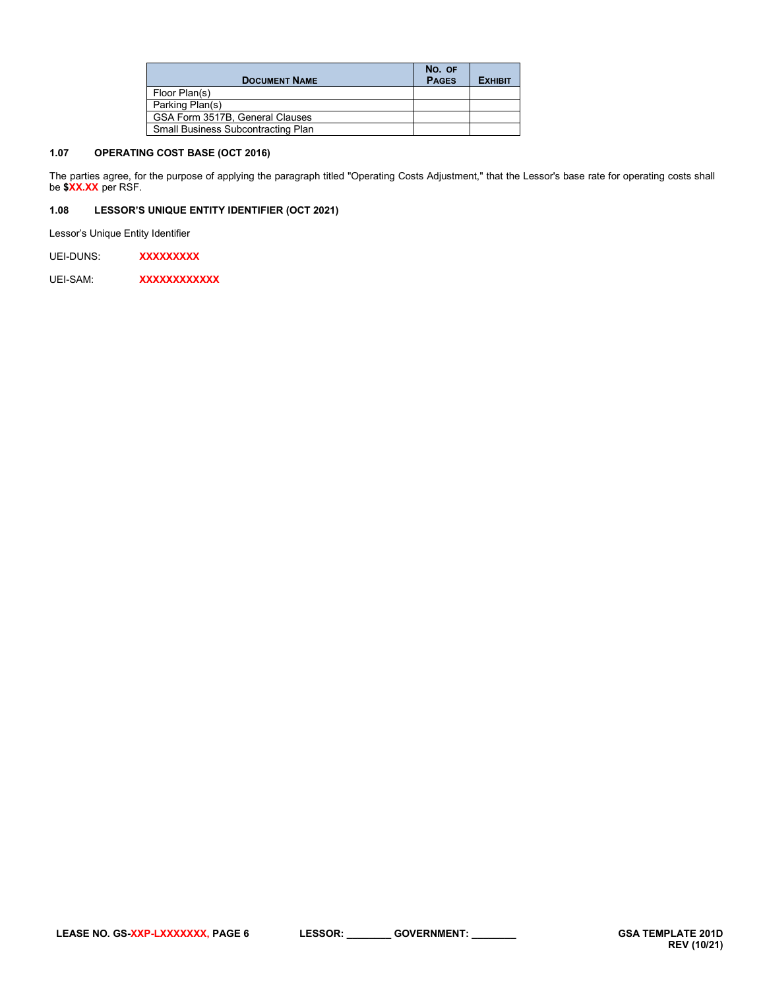| <b>DOCUMENT NAME</b>               | NO. OF<br><b>PAGES</b> | <b>EXHIBIT</b> |
|------------------------------------|------------------------|----------------|
| Floor Plan(s)                      |                        |                |
| Parking Plan(s)                    |                        |                |
| GSA Form 3517B. General Clauses    |                        |                |
| Small Business Subcontracting Plan |                        |                |

# <span id="page-5-0"></span>**1.07 OPERATING COST BASE (OCT 2016)**

The parties agree, for the purpose of applying the paragraph titled "Operating Costs Adjustment," that the Lessor's base rate for operating costs shall be **\$XX.XX** per RSF.

# <span id="page-5-1"></span>**1.08 LESSOR'S UNIQUE ENTITY IDENTIFIER (OCT 2021)**

Lessor's Unique Entity Identifier

UEI-DUNS: **XXXXXXXXX**

UEI-SAM: **XXXXXXXXXXX**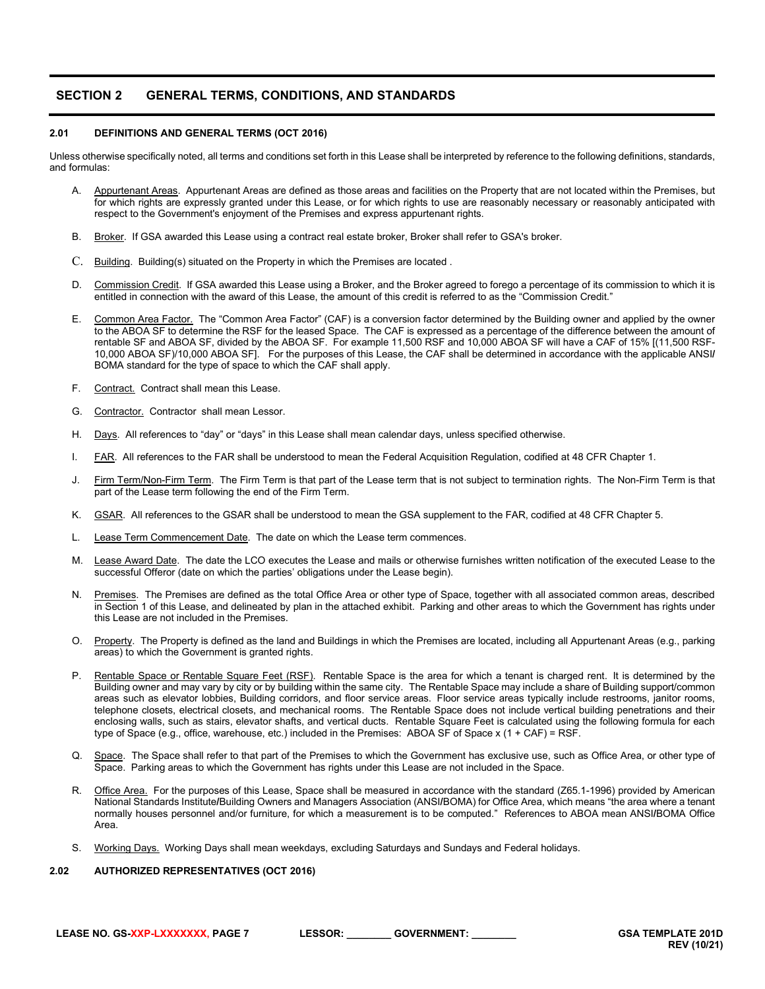# <span id="page-6-0"></span>**SECTION 2 GENERAL TERMS, CONDITIONS, AND STANDARDS**

### <span id="page-6-1"></span>**2.01 DEFINITIONS AND GENERAL TERMS (OCT 2016)**

Unless otherwise specifically noted, all terms and conditions set forth in this Lease shall be interpreted by reference to the following definitions, standards, and formulas:

- A. Appurtenant Areas. Appurtenant Areas are defined as those areas and facilities on the Property that are not located within the Premises, but for which rights are expressly granted under this Lease, or for which rights to use are reasonably necessary or reasonably anticipated with respect to the Government's enjoyment of the Premises and express appurtenant rights.
- B. Broker. If GSA awarded this Lease using a contract real estate broker, Broker shall refer to GSA's broker.
- C. Building. Building(s) situated on the Property in which the Premises are located .
- D. Commission Credit. If GSA awarded this Lease using a Broker, and the Broker agreed to forego a percentage of its commission to which it is entitled in connection with the award of this Lease, the amount of this credit is referred to as the "Commission Credit."
- E. Common Area Factor. The "Common Area Factor" (CAF) is a conversion factor determined by the Building owner and applied by the owner to the ABOA SF to determine the RSF for the leased Space. The CAF is expressed as a percentage of the difference between the amount of rentable SF and ABOA SF, divided by the ABOA SF. For example 11,500 RSF and 10,000 ABOA SF will have a CAF of 15% [(11,500 RSF-10,000 ABOA SF)/10,000 ABOA SF]. For the purposes of this Lease, the CAF shall be determined in accordance with the applicable ANSI**/** BOMA standard for the type of space to which the CAF shall apply.
- F. Contract. Contract shall mean this Lease.
- G. Contractor. Contractor shall mean Lessor.
- H. Days. All references to "day" or "days" in this Lease shall mean calendar days, unless specified otherwise.
- I. FAR. All references to the FAR shall be understood to mean the Federal Acquisition Regulation, codified at 48 CFR Chapter 1.
- J. Firm Term/Non-Firm Term. The Firm Term is that part of the Lease term that is not subject to termination rights. The Non-Firm Term is that part of the Lease term following the end of the Firm Term.
- K. GSAR. All references to the GSAR shall be understood to mean the GSA supplement to the FAR, codified at 48 CFR Chapter 5.
- L. Lease Term Commencement Date. The date on which the Lease term commences.
- M. Lease Award Date. The date the LCO executes the Lease and mails or otherwise furnishes written notification of the executed Lease to the successful Offeror (date on which the parties' obligations under the Lease begin).
- N. Premises. The Premises are defined as the total Office Area or other type of Space, together with all associated common areas, described in Section 1 of this Lease, and delineated by plan in the attached exhibit. Parking and other areas to which the Government has rights under this Lease are not included in the Premises.
- O. Property. The Property is defined as the land and Buildings in which the Premises are located, including all Appurtenant Areas (e.g., parking areas) to which the Government is granted rights.
- P. Rentable Space or Rentable Square Feet (RSF). Rentable Space is the area for which a tenant is charged rent. It is determined by the Building owner and may vary by city or by building within the same city. The Rentable Space may include a share of Building support/common areas such as elevator lobbies, Building corridors, and floor service areas. Floor service areas typically include restrooms, janitor rooms, telephone closets, electrical closets, and mechanical rooms. The Rentable Space does not include vertical building penetrations and their enclosing walls, such as stairs, elevator shafts, and vertical ducts. Rentable Square Feet is calculated using the following formula for each type of Space (e.g., office, warehouse, etc.) included in the Premises: ABOA SF of Space x (1 + CAF) = RSF.
- Q. Space. The Space shall refer to that part of the Premises to which the Government has exclusive use, such as Office Area, or other type of Space. Parking areas to which the Government has rights under this Lease are not included in the Space.
- R. Office Area. For the purposes of this Lease, Space shall be measured in accordance with the standard (Z65.1-1996) provided by American National Standards Institute**/**Building Owners and Managers Association (ANSI**/**BOMA) for Office Area, which means "the area where a tenant normally houses personnel and/or furniture, for which a measurement is to be computed." References to ABOA mean ANSI**/**BOMA Office Area.
- S. Working Days. Working Days shall mean weekdays, excluding Saturdays and Sundays and Federal holidays.

## <span id="page-6-2"></span>**2.02 AUTHORIZED REPRESENTATIVES (OCT 2016)**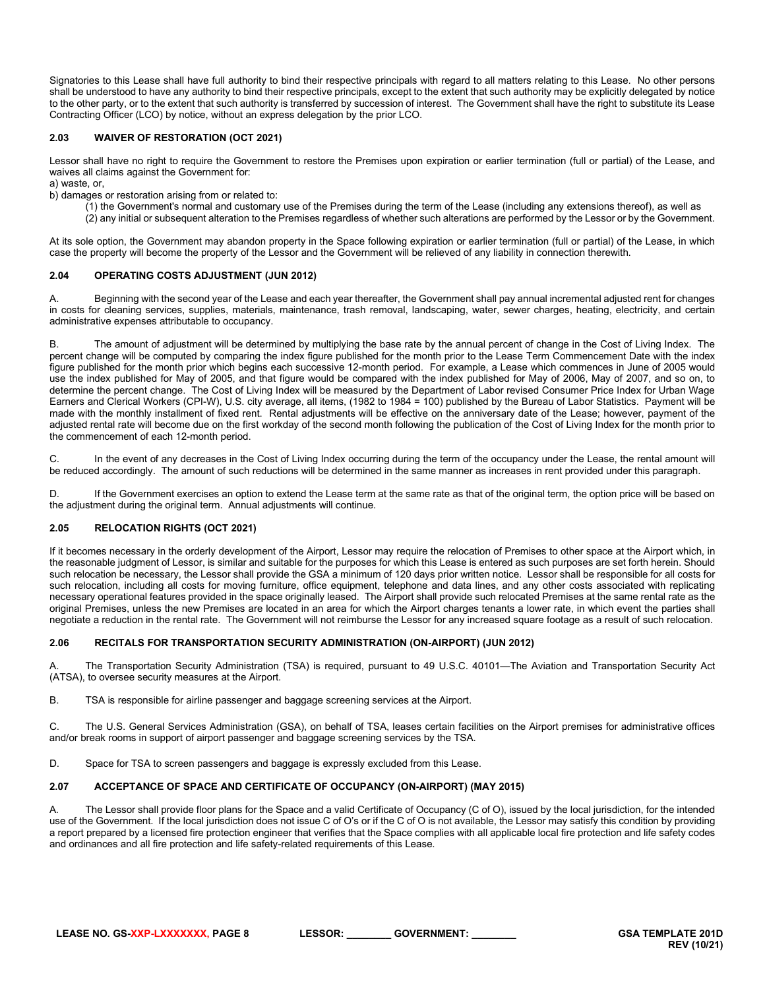Signatories to this Lease shall have full authority to bind their respective principals with regard to all matters relating to this Lease. No other persons shall be understood to have any authority to bind their respective principals, except to the extent that such authority may be explicitly delegated by notice to the other party, or to the extent that such authority is transferred by succession of interest. The Government shall have the right to substitute its Lease Contracting Officer (LCO) by notice, without an express delegation by the prior LCO.

### <span id="page-7-0"></span>**2.03 WAIVER OF RESTORATION (OCT 2021)**

Lessor shall have no right to require the Government to restore the Premises upon expiration or earlier termination (full or partial) of the Lease, and waives all claims against the Government for:

a) waste, or,

b) damages or restoration arising from or related to:

(1) the Government's normal and customary use of the Premises during the term of the Lease (including any extensions thereof), as well as (2) any initial or subsequent alteration to the Premises regardless of whether such alterations are performed by the Lessor or by the Government.

At its sole option, the Government may abandon property in the Space following expiration or earlier termination (full or partial) of the Lease, in which case the property will become the property of the Lessor and the Government will be relieved of any liability in connection therewith.

### <span id="page-7-1"></span>**2.04 OPERATING COSTS ADJUSTMENT (JUN 2012)**

A. Beginning with the second year of the Lease and each year thereafter, the Government shall pay annual incremental adjusted rent for changes in costs for cleaning services, supplies, materials, maintenance, trash removal, landscaping, water, sewer charges, heating, electricity, and certain administrative expenses attributable to occupancy.

B. The amount of adjustment will be determined by multiplying the base rate by the annual percent of change in the Cost of Living Index. The percent change will be computed by comparing the index figure published for the month prior to the Lease Term Commencement Date with the index figure published for the month prior which begins each successive 12-month period. For example, a Lease which commences in June of 2005 would use the index published for May of 2005, and that figure would be compared with the index published for May of 2006, May of 2007, and so on, to determine the percent change. The Cost of Living Index will be measured by the Department of Labor revised Consumer Price Index for Urban Wage Earners and Clerical Workers (CPI-W), U.S. city average, all items, (1982 to 1984 = 100) published by the Bureau of Labor Statistics. Payment will be made with the monthly installment of fixed rent. Rental adjustments will be effective on the anniversary date of the Lease; however, payment of the adjusted rental rate will become due on the first workday of the second month following the publication of the Cost of Living Index for the month prior to the commencement of each 12-month period.

C. In the event of any decreases in the Cost of Living Index occurring during the term of the occupancy under the Lease, the rental amount will be reduced accordingly. The amount of such reductions will be determined in the same manner as increases in rent provided under this paragraph.

D. If the Government exercises an option to extend the Lease term at the same rate as that of the original term, the option price will be based on the adjustment during the original term. Annual adjustments will continue.

### <span id="page-7-2"></span>**2.05 RELOCATION RIGHTS (OCT 2021)**

If it becomes necessary in the orderly development of the Airport, Lessor may require the relocation of Premises to other space at the Airport which, in the reasonable judgment of Lessor, is similar and suitable for the purposes for which this Lease is entered as such purposes are set forth herein. Should such relocation be necessary, the Lessor shall provide the GSA a minimum of 120 days prior written notice. Lessor shall be responsible for all costs for such relocation, including all costs for moving furniture, office equipment, telephone and data lines, and any other costs associated with replicating necessary operational features provided in the space originally leased. The Airport shall provide such relocated Premises at the same rental rate as the original Premises, unless the new Premises are located in an area for which the Airport charges tenants a lower rate, in which event the parties shall negotiate a reduction in the rental rate. The Government will not reimburse the Lessor for any increased square footage as a result of such relocation.

### <span id="page-7-3"></span>**2.06 RECITALS FOR TRANSPORTATION SECURITY ADMINISTRATION (ON-AIRPORT) (JUN 2012)**

A. The Transportation Security Administration (TSA) is required, pursuant to 49 U.S.C. 40101—The Aviation and Transportation Security Act (ATSA), to oversee security measures at the Airport.

B. TSA is responsible for airline passenger and baggage screening services at the Airport.

C. The U.S. General Services Administration (GSA), on behalf of TSA, leases certain facilities on the Airport premises for administrative offices and/or break rooms in support of airport passenger and baggage screening services by the TSA.

D. Space for TSA to screen passengers and baggage is expressly excluded from this Lease.

### <span id="page-7-4"></span>**2.07 ACCEPTANCE OF SPACE AND CERTIFICATE OF OCCUPANCY (ON-AIRPORT) (MAY 2015)**

A. The Lessor shall provide floor plans for the Space and a valid Certificate of Occupancy (C of O), issued by the local jurisdiction, for the intended use of the Government. If the local jurisdiction does not issue C of O's or if the C of O is not available, the Lessor may satisfy this condition by providing a report prepared by a licensed fire protection engineer that verifies that the Space complies with all applicable local fire protection and life safety codes and ordinances and all fire protection and life safety-related requirements of this Lease.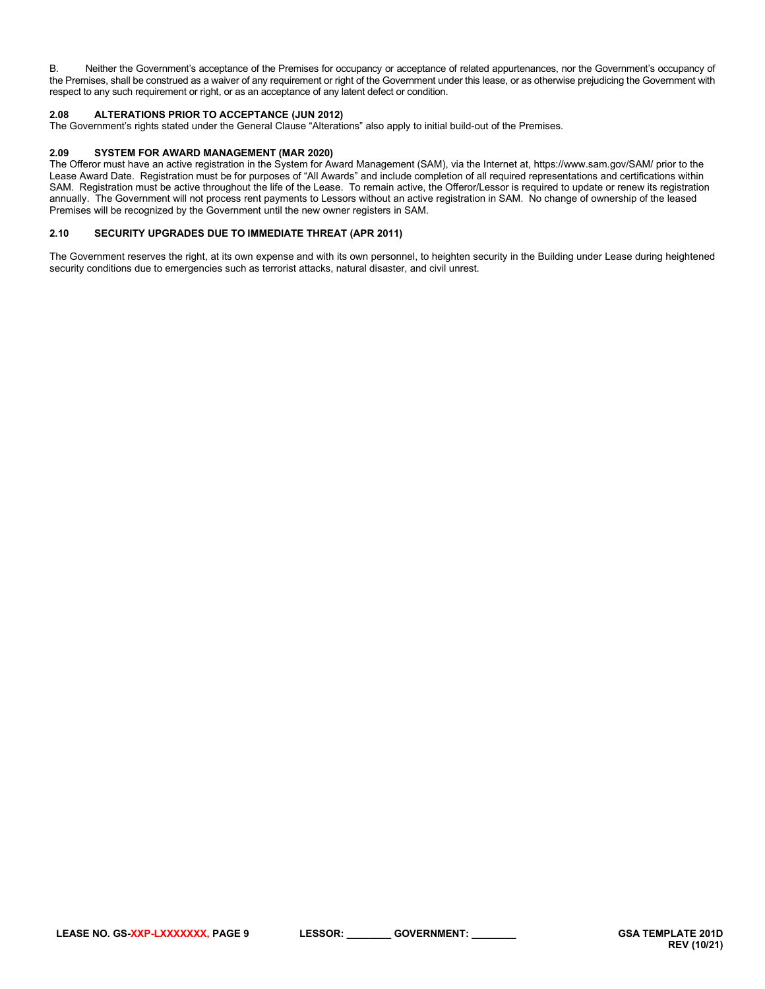B. Neither the Government's acceptance of the Premises for occupancy or acceptance of related appurtenances, nor the Government's occupancy of the Premises, shall be construed as a waiver of any requirement or right of the Government under this lease, or as otherwise prejudicing the Government with respect to any such requirement or right, or as an acceptance of any latent defect or condition.

### <span id="page-8-0"></span>**2.08 ALTERATIONS PRIOR TO ACCEPTANCE (JUN 2012)**

The Government's rights stated under the General Clause "Alterations" also apply to initial build-out of the Premises.

### <span id="page-8-1"></span>**2.09 SYSTEM FOR AWARD MANAGEMENT (MAR 2020)**

The Offeror must have an active registration in the System for Award Management (SAM), via the Internet at, https://www.sam.gov/SAM/ prior to the Lease Award Date. Registration must be for purposes of "All Awards" and include completion of all required representations and certifications within SAM. Registration must be active throughout the life of the Lease. To remain active, the Offeror/Lessor is required to update or renew its registration annually. The Government will not process rent payments to Lessors without an active registration in SAM. No change of ownership of the leased Premises will be recognized by the Government until the new owner registers in SAM.

### <span id="page-8-2"></span>**2.10 SECURITY UPGRADES DUE TO IMMEDIATE THREAT (APR 2011)**

The Government reserves the right, at its own expense and with its own personnel, to heighten security in the Building under Lease during heightened security conditions due to emergencies such as terrorist attacks, natural disaster, and civil unrest.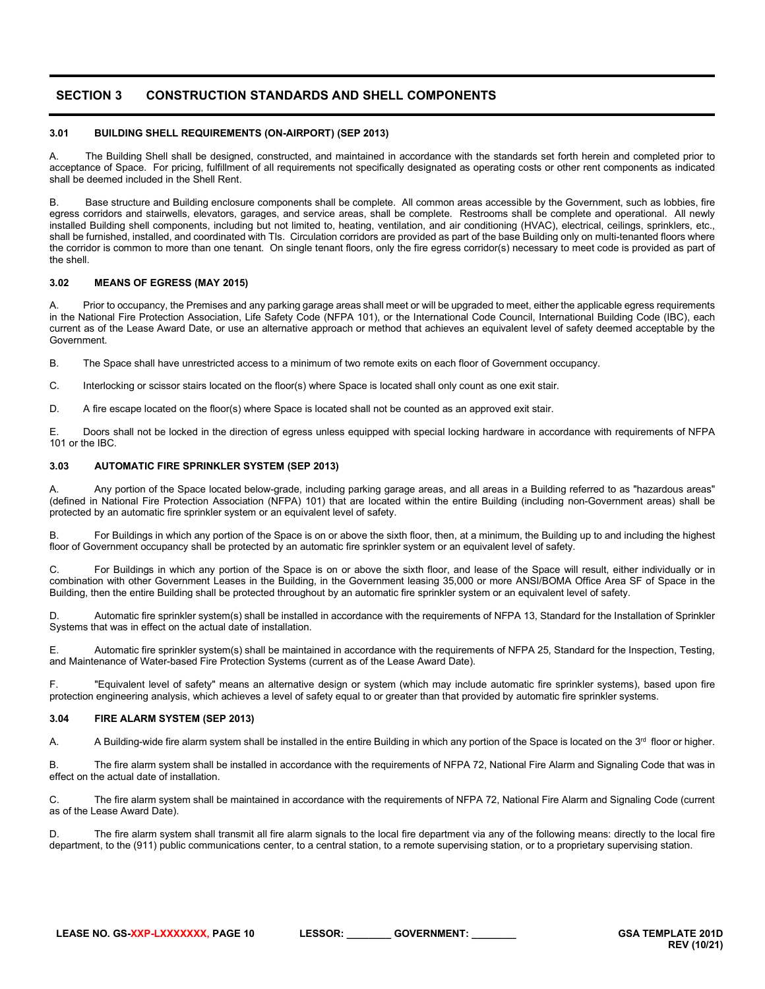# <span id="page-9-0"></span>**SECTION 3 CONSTRUCTION STANDARDS AND SHELL COMPONENTS**

### <span id="page-9-1"></span>**3.01 BUILDING SHELL REQUIREMENTS (ON-AIRPORT) (SEP 2013)**

A. The Building Shell shall be designed, constructed, and maintained in accordance with the standards set forth herein and completed prior to acceptance of Space. For pricing, fulfillment of all requirements not specifically designated as operating costs or other rent components as indicated shall be deemed included in the Shell Rent.

B. Base structure and Building enclosure components shall be complete. All common areas accessible by the Government, such as lobbies, fire egress corridors and stairwells, elevators, garages, and service areas, shall be complete. Restrooms shall be complete and operational. All newly installed Building shell components, including but not limited to, heating, ventilation, and air conditioning (HVAC), electrical, ceilings, sprinklers, etc., shall be furnished, installed, and coordinated with TIs. Circulation corridors are provided as part of the base Building only on multi-tenanted floors where the corridor is common to more than one tenant. On single tenant floors, only the fire egress corridor(s) necessary to meet code is provided as part of the shell.

### <span id="page-9-2"></span>**3.02 MEANS OF EGRESS (MAY 2015)**

A. Prior to occupancy, the Premises and any parking garage areas shall meet or will be upgraded to meet, either the applicable egress requirements in the National Fire Protection Association, Life Safety Code (NFPA 101), or the International Code Council, International Building Code (IBC), each current as of the Lease Award Date, or use an alternative approach or method that achieves an equivalent level of safety deemed acceptable by the Government.

B. The Space shall have unrestricted access to a minimum of two remote exits on each floor of Government occupancy.

C. Interlocking or scissor stairs located on the floor(s) where Space is located shall only count as one exit stair.

D. A fire escape located on the floor(s) where Space is located shall not be counted as an approved exit stair.

E. Doors shall not be locked in the direction of egress unless equipped with special locking hardware in accordance with requirements of NFPA 101 or the IBC.

#### <span id="page-9-3"></span>**3.03 AUTOMATIC FIRE SPRINKLER SYSTEM (SEP 2013)**

A. Any portion of the Space located below-grade, including parking garage areas, and all areas in a Building referred to as "hazardous areas" (defined in National Fire Protection Association (NFPA) 101) that are located within the entire Building (including non-Government areas) shall be protected by an automatic fire sprinkler system or an equivalent level of safety.

B. For Buildings in which any portion of the Space is on or above the sixth floor, then, at a minimum, the Building up to and including the highest floor of Government occupancy shall be protected by an automatic fire sprinkler system or an equivalent level of safety.

C. For Buildings in which any portion of the Space is on or above the sixth floor, and lease of the Space will result, either individually or in combination with other Government Leases in the Building, in the Government leasing 35,000 or more ANSI/BOMA Office Area SF of Space in the Building, then the entire Building shall be protected throughout by an automatic fire sprinkler system or an equivalent level of safety.

D. Automatic fire sprinkler system(s) shall be installed in accordance with the requirements of NFPA 13, Standard for the Installation of Sprinkler Systems that was in effect on the actual date of installation.

E. Automatic fire sprinkler system(s) shall be maintained in accordance with the requirements of NFPA 25, Standard for the Inspection, Testing, and Maintenance of Water-based Fire Protection Systems (current as of the Lease Award Date).

F. "Equivalent level of safety" means an alternative design or system (which may include automatic fire sprinkler systems), based upon fire protection engineering analysis, which achieves a level of safety equal to or greater than that provided by automatic fire sprinkler systems.

### <span id="page-9-4"></span>**3.04 FIRE ALARM SYSTEM (SEP 2013)**

A. A Building-wide fire alarm system shall be installed in the entire Building in which any portion of the Space is located on the 3<sup>rd</sup> floor or higher.

B. The fire alarm system shall be installed in accordance with the requirements of NFPA 72, National Fire Alarm and Signaling Code that was in effect on the actual date of installation.

C. The fire alarm system shall be maintained in accordance with the requirements of NFPA 72, National Fire Alarm and Signaling Code (current as of the Lease Award Date).

The fire alarm system shall transmit all fire alarm signals to the local fire department via any of the following means: directly to the local fire department, to the (911) public communications center, to a central station, to a remote supervising station, or to a proprietary supervising station.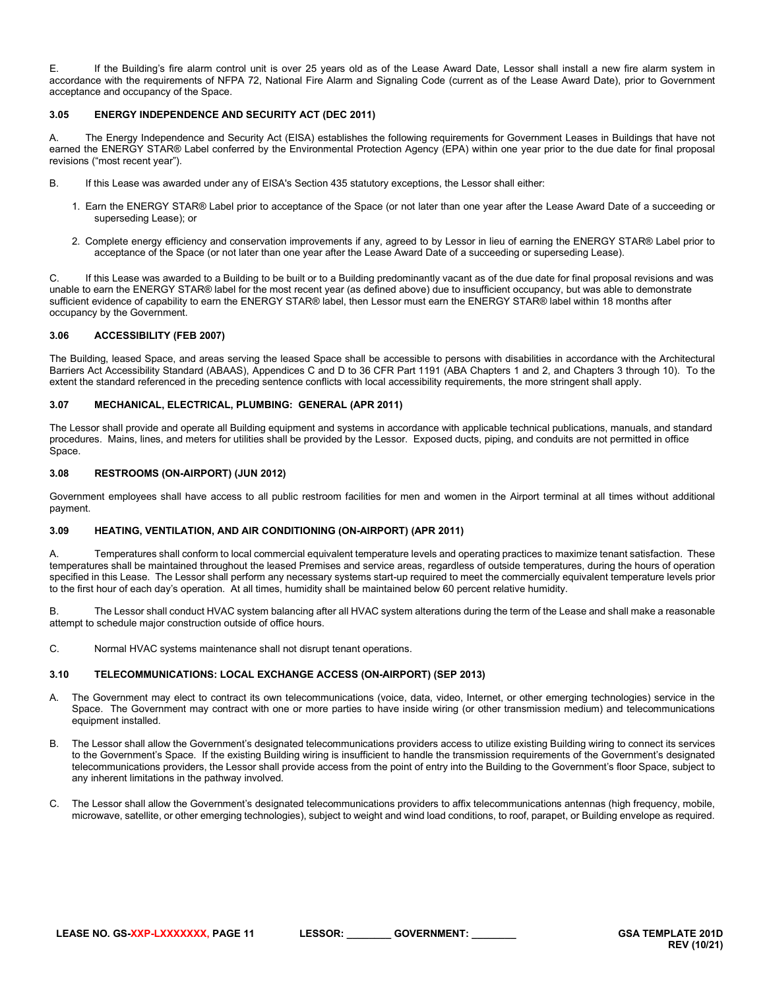E. If the Building's fire alarm control unit is over 25 years old as of the Lease Award Date, Lessor shall install a new fire alarm system in accordance with the requirements of NFPA 72, National Fire Alarm and Signaling Code (current as of the Lease Award Date), prior to Government acceptance and occupancy of the Space.

### <span id="page-10-0"></span>**3.05 ENERGY INDEPENDENCE AND SECURITY ACT (DEC 2011)**

A. The Energy Independence and Security Act (EISA) establishes the following requirements for Government Leases in Buildings that have not earned the ENERGY STAR® Label conferred by the Environmental Protection Agency (EPA) within one year prior to the due date for final proposal revisions ("most recent year").

- B. If this Lease was awarded under any of EISA's Section 435 statutory exceptions, the Lessor shall either:
	- 1. Earn the ENERGY STAR® Label prior to acceptance of the Space (or not later than one year after the Lease Award Date of a succeeding or superseding Lease); or
	- 2. Complete energy efficiency and conservation improvements if any, agreed to by Lessor in lieu of earning the ENERGY STAR® Label prior to acceptance of the Space (or not later than one year after the Lease Award Date of a succeeding or superseding Lease).

C. If this Lease was awarded to a Building to be built or to a Building predominantly vacant as of the due date for final proposal revisions and was unable to earn the ENERGY STAR® label for the most recent year (as defined above) due to insufficient occupancy, but was able to demonstrate sufficient evidence of capability to earn the ENERGY STAR® label, then Lessor must earn the ENERGY STAR® label within 18 months after occupancy by the Government.

### <span id="page-10-1"></span>**3.06 ACCESSIBILITY (FEB 2007)**

The Building, leased Space, and areas serving the leased Space shall be accessible to persons with disabilities in accordance with the Architectural Barriers Act Accessibility Standard (ABAAS), Appendices C and D to 36 CFR Part 1191 (ABA Chapters 1 and 2, and Chapters 3 through 10). To the extent the standard referenced in the preceding sentence conflicts with local accessibility requirements, the more stringent shall apply.

### <span id="page-10-2"></span>**3.07 MECHANICAL, ELECTRICAL, PLUMBING: GENERAL (APR 2011)**

The Lessor shall provide and operate all Building equipment and systems in accordance with applicable technical publications, manuals, and standard procedures. Mains, lines, and meters for utilities shall be provided by the Lessor. Exposed ducts, piping, and conduits are not permitted in office Space.

### <span id="page-10-3"></span>**3.08 RESTROOMS (ON-AIRPORT) (JUN 2012)**

Government employees shall have access to all public restroom facilities for men and women in the Airport terminal at all times without additional payment.

## <span id="page-10-4"></span>**3.09 HEATING, VENTILATION, AND AIR CONDITIONING (ON-AIRPORT) (APR 2011)**

A. Temperatures shall conform to local commercial equivalent temperature levels and operating practices to maximize tenant satisfaction. These temperatures shall be maintained throughout the leased Premises and service areas, regardless of outside temperatures, during the hours of operation specified in this Lease. The Lessor shall perform any necessary systems start-up required to meet the commercially equivalent temperature levels prior to the first hour of each day's operation. At all times, humidity shall be maintained below 60 percent relative humidity.

B. The Lessor shall conduct HVAC system balancing after all HVAC system alterations during the term of the Lease and shall make a reasonable attempt to schedule major construction outside of office hours.

C. Normal HVAC systems maintenance shall not disrupt tenant operations.

### <span id="page-10-5"></span>**3.10 TELECOMMUNICATIONS: LOCAL EXCHANGE ACCESS (ON-AIRPORT) (SEP 2013)**

- A. The Government may elect to contract its own telecommunications (voice, data, video, Internet, or other emerging technologies) service in the Space. The Government may contract with one or more parties to have inside wiring (or other transmission medium) and telecommunications equipment installed.
- B. The Lessor shall allow the Government's designated telecommunications providers access to utilize existing Building wiring to connect its services to the Government's Space. If the existing Building wiring is insufficient to handle the transmission requirements of the Government's designated telecommunications providers, the Lessor shall provide access from the point of entry into the Building to the Government's floor Space, subject to any inherent limitations in the pathway involved.
- C. The Lessor shall allow the Government's designated telecommunications providers to affix telecommunications antennas (high frequency, mobile, microwave, satellite, or other emerging technologies), subject to weight and wind load conditions, to roof, parapet, or Building envelope as required.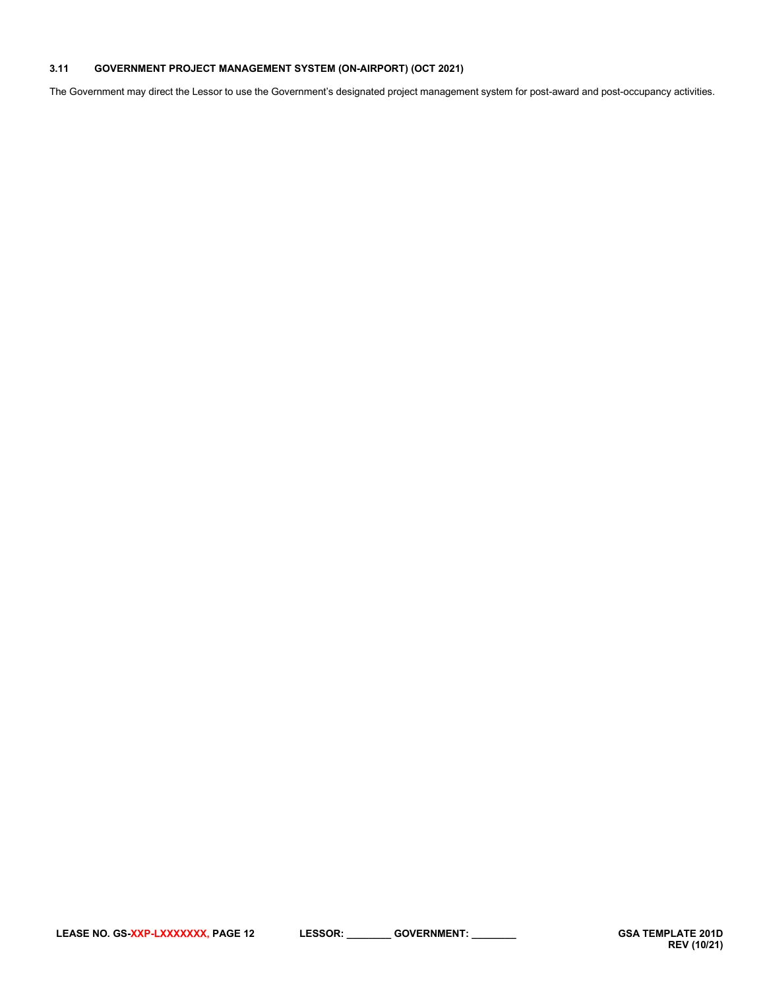# <span id="page-11-0"></span>**3.11 GOVERNMENT PROJECT MANAGEMENT SYSTEM (ON-AIRPORT) (OCT 2021)**

The Government may direct the Lessor to use the Government's designated project management system for post-award and post-occupancy activities.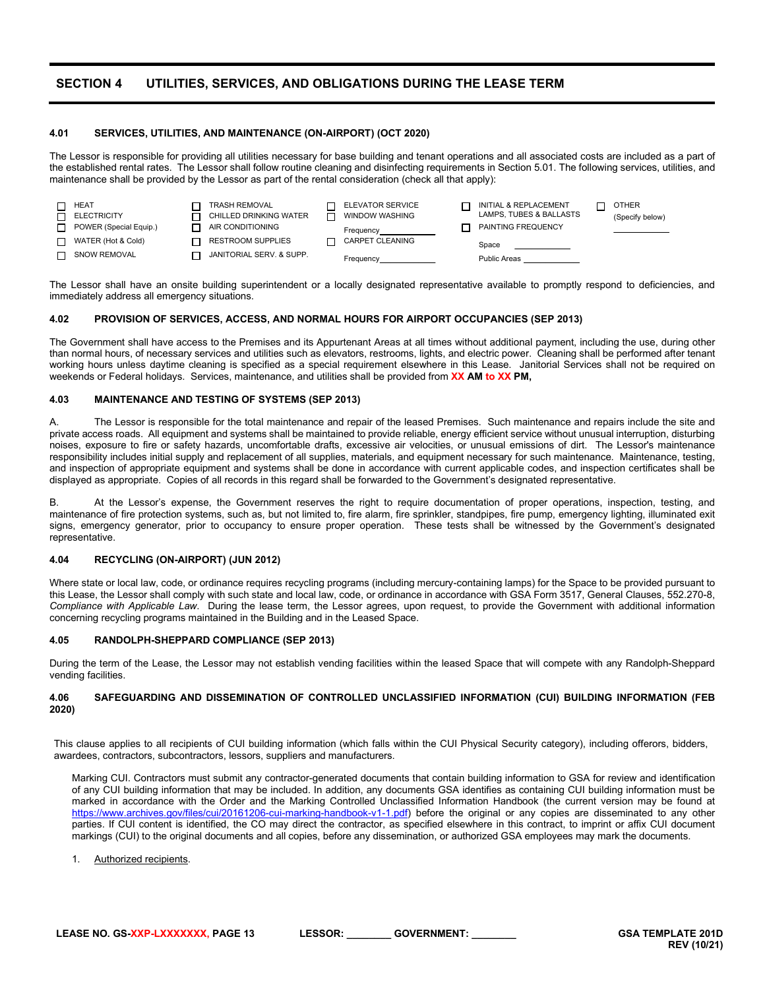# <span id="page-12-0"></span>**SECTION 4 UTILITIES, SERVICES, AND OBLIGATIONS DURING THE LEASE TERM**

### <span id="page-12-1"></span>**4.01 SERVICES, UTILITIES, AND MAINTENANCE (ON-AIRPORT) (OCT 2020)**

The Lessor is responsible for providing all utilities necessary for base building and tenant operations and all associated costs are included as a part of the established rental rates. The Lessor shall follow routine cleaning and disinfecting requirements in Section 5.01. The following services, utilities, and maintenance shall be provided by the Lessor as part of the rental consideration (check all that apply):

|  | HEAT<br><b>ELECTRICITY</b><br>POWER (Special Equip.)<br>WATER (Hot & Cold)<br>SNOW REMOVAL |  | <b>TRASH REMOVAL</b><br>CHILLED DRINKING WATER<br>AIR CONDITIONING<br><b>RESTROOM SUPPLIES</b><br>JANITORIAL SERV. & SUPP. |  | <b>ELEVATOR SERVICE</b><br><b>WINDOW WASHING</b><br>Frequency<br><b>CARPET CLEANING</b><br>Frequency |  | <b>INITIAL &amp; REPLACEMENT</b><br><b>LAMPS. TUBES &amp; BALLASTS</b><br>PAINTING FREQUENCY<br>Space<br>Public Areas |  | <b>OTHER</b><br>(Specify below) |
|--|--------------------------------------------------------------------------------------------|--|----------------------------------------------------------------------------------------------------------------------------|--|------------------------------------------------------------------------------------------------------|--|-----------------------------------------------------------------------------------------------------------------------|--|---------------------------------|
|--|--------------------------------------------------------------------------------------------|--|----------------------------------------------------------------------------------------------------------------------------|--|------------------------------------------------------------------------------------------------------|--|-----------------------------------------------------------------------------------------------------------------------|--|---------------------------------|

The Lessor shall have an onsite building superintendent or a locally designated representative available to promptly respond to deficiencies, and immediately address all emergency situations.

#### <span id="page-12-2"></span>**4.02 PROVISION OF SERVICES, ACCESS, AND NORMAL HOURS FOR AIRPORT OCCUPANCIES (SEP 2013)**

The Government shall have access to the Premises and its Appurtenant Areas at all times without additional payment, including the use, during other than normal hours, of necessary services and utilities such as elevators, restrooms, lights, and electric power. Cleaning shall be performed after tenant working hours unless daytime cleaning is specified as a special requirement elsewhere in this Lease. Janitorial Services shall not be required on weekends or Federal holidays. Services, maintenance, and utilities shall be provided from **XX AM to XX PM,**

### **4.03 MAINTENANCE AND TESTING OF SYSTEMS (SEP 2013)**

A. The Lessor is responsible for the total maintenance and repair of the leased Premises. Such maintenance and repairs include the site and private access roads. All equipment and systems shall be maintained to provide reliable, energy efficient service without unusual interruption, disturbing noises, exposure to fire or safety hazards, uncomfortable drafts, excessive air velocities, or unusual emissions of dirt. The Lessor's maintenance responsibility includes initial supply and replacement of all supplies, materials, and equipment necessary for such maintenance. Maintenance, testing, and inspection of appropriate equipment and systems shall be done in accordance with current applicable codes, and inspection certificates shall be displayed as appropriate. Copies of all records in this regard shall be forwarded to the Government's designated representative.

B. At the Lessor's expense, the Government reserves the right to require documentation of proper operations, inspection, testing, and maintenance of fire protection systems, such as, but not limited to, fire alarm, fire sprinkler, standpipes, fire pump, emergency lighting, illuminated exit signs, emergency generator, prior to occupancy to ensure proper operation. These tests shall be witnessed by the Government's designated representative.

#### <span id="page-12-3"></span>**4.04 RECYCLING (ON-AIRPORT) (JUN 2012)**

Where state or local law, code, or ordinance requires recycling programs (including mercury-containing lamps) for the Space to be provided pursuant to this Lease, the Lessor shall comply with such state and local law, code, or ordinance in accordance with GSA Form 3517, General Clauses, 552.270-8, *Compliance with Applicable Law*. During the lease term, the Lessor agrees, upon request, to provide the Government with additional information concerning recycling programs maintained in the Building and in the Leased Space.

#### <span id="page-12-4"></span>**4.05 RANDOLPH-SHEPPARD COMPLIANCE (SEP 2013)**

During the term of the Lease, the Lessor may not establish vending facilities within the leased Space that will compete with any Randolph-Sheppard vending facilities.

### <span id="page-12-5"></span>**4.06 SAFEGUARDING AND DISSEMINATION OF CONTROLLED UNCLASSIFIED INFORMATION (CUI) BUILDING INFORMATION (FEB 2020)**

This clause applies to all recipients of CUI building information (which falls within the CUI Physical Security category), including offerors, bidders, awardees, contractors, subcontractors, lessors, suppliers and manufacturers.

Marking CUI. Contractors must submit any contractor-generated documents that contain building information to GSA for review and identification of any CUI building information that may be included. In addition, any documents GSA identifies as containing CUI building information must be marked in accordance with the Order and the Marking Controlled Unclassified Information Handbook (the current version may be found at [https://www.archives.gov/files/cui/20161206-cui-marking-handbook-v1-1.pdf\)](https://www.archives.gov/files/cui/20161206-cui-marking-handbook-v1-1.pdf) before the original or any copies are disseminated to any other parties. If CUI content is identified, the CO may direct the contractor, as specified elsewhere in this contract, to imprint or affix CUI document markings (CUI) to the original documents and all copies, before any dissemination, or authorized GSA employees may mark the documents.

1. Authorized recipients.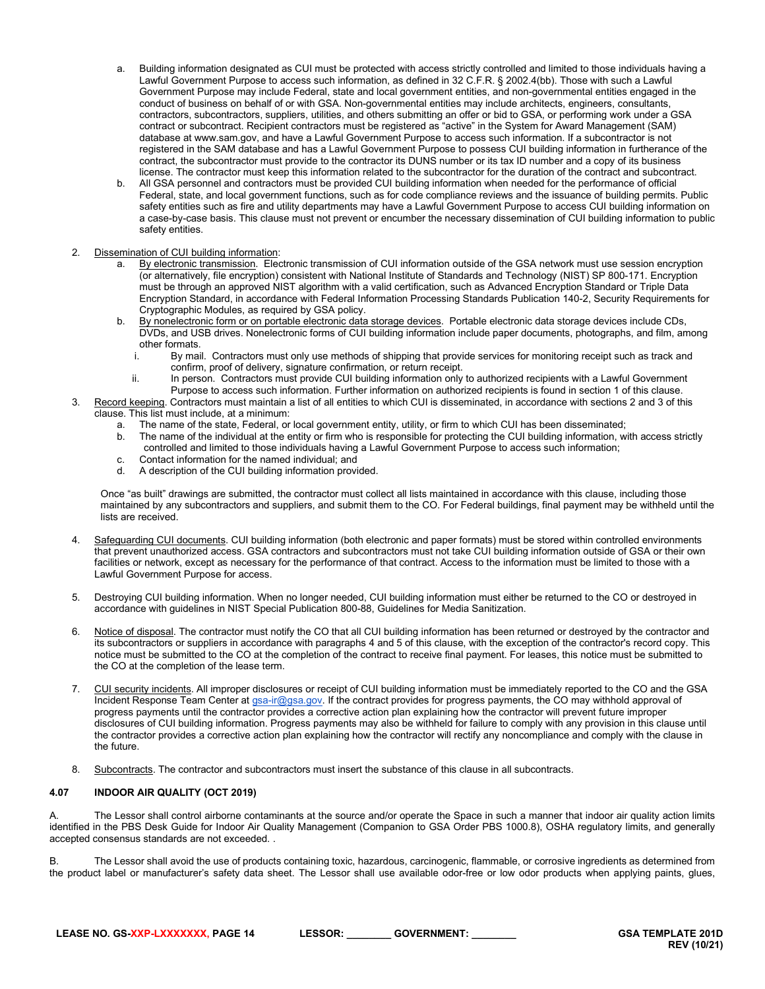- a. Building information designated as CUI must be protected with access strictly controlled and limited to those individuals having a Lawful Government Purpose to access such information, as defined in 32 C.F.R. § 2002.4(bb). Those with such a Lawful Government Purpose may include Federal, state and local government entities, and non-governmental entities engaged in the conduct of business on behalf of or with GSA. Non-governmental entities may include architects, engineers, consultants, contractors, subcontractors, suppliers, utilities, and others submitting an offer or bid to GSA, or performing work under a GSA contract or subcontract. Recipient contractors must be registered as "active" in the System for Award Management (SAM) database at www.sam.gov, and have a Lawful Government Purpose to access such information. If a subcontractor is not registered in the SAM database and has a Lawful Government Purpose to possess CUI building information in furtherance of the contract, the subcontractor must provide to the contractor its DUNS number or its tax ID number and a copy of its business license. The contractor must keep this information related to the subcontractor for the duration of the contract and subcontract.
- b. All GSA personnel and contractors must be provided CUI building information when needed for the performance of official Federal, state, and local government functions, such as for code compliance reviews and the issuance of building permits. Public safety entities such as fire and utility departments may have a Lawful Government Purpose to access CUI building information on a case-by-case basis. This clause must not prevent or encumber the necessary dissemination of CUI building information to public safety entities.
- 2. Dissemination of CUI building information:
	- a. By electronic transmission. Electronic transmission of CUI information outside of the GSA network must use session encryption (or alternatively, file encryption) consistent with National Institute of Standards and Technology (NIST) SP 800-171. Encryption must be through an approved NIST algorithm with a valid certification, such as Advanced Encryption Standard or Triple Data Encryption Standard, in accordance with Federal Information Processing Standards Publication 140-2, Security Requirements for Cryptographic Modules, as required by GSA policy.
	- b. By nonelectronic form or on portable electronic data storage devices. Portable electronic data storage devices include CDs, DVDs, and USB drives. Nonelectronic forms of CUI building information include paper documents, photographs, and film, among other formats.<br>By mai
		- By mail. Contractors must only use methods of shipping that provide services for monitoring receipt such as track and confirm, proof of delivery, signature confirmation, or return receipt.
		- ii. In person. Contractors must provide CUI building information only to authorized recipients with a Lawful Government Purpose to access such information. Further information on authorized recipients is found in section 1 of this clause.
- 3. Record keeping. Contractors must maintain a list of all entities to which CUI is disseminated, in accordance with sections 2 and 3 of this clause. This list must include, at a minimum:
	- a. The name of the state, Federal, or local government entity, utility, or firm to which CUI has been disseminated;
	- b. The name of the individual at the entity or firm who is responsible for protecting the CUI building information, with access strictly controlled and limited to those individuals having a Lawful Government Purpose to access such information;
	- c. Contact information for the named individual; and
	- d. A description of the CUI building information provided.

Once "as built" drawings are submitted, the contractor must collect all lists maintained in accordance with this clause, including those maintained by any subcontractors and suppliers, and submit them to the CO. For Federal buildings, final payment may be withheld until the lists are received.

- 4. Safeguarding CUI documents. CUI building information (both electronic and paper formats) must be stored within controlled environments that prevent unauthorized access. GSA contractors and subcontractors must not take CUI building information outside of GSA or their own facilities or network, except as necessary for the performance of that contract. Access to the information must be limited to those with a Lawful Government Purpose for access.
- 5. Destroying CUI building information. When no longer needed, CUI building information must either be returned to the CO or destroyed in accordance with guidelines in NIST Special Publication 800-88, Guidelines for Media Sanitization.
- 6. Notice of disposal. The contractor must notify the CO that all CUI building information has been returned or destroyed by the contractor and its subcontractors or suppliers in accordance with paragraphs 4 and 5 of this clause, with the exception of the contractor's record copy. This notice must be submitted to the CO at the completion of the contract to receive final payment. For leases, this notice must be submitted to the CO at the completion of the lease term.
- 7. CUI security incidents. All improper disclosures or receipt of CUI building information must be immediately reported to the CO and the GSA Incident Response Team Center at gsa-ir@gsa.gov. If the contract provides for progress payments, the CO may withhold approval of progress payments until the contractor provides a corrective action plan explaining how the contractor will prevent future improper disclosures of CUI building information. Progress payments may also be withheld for failure to comply with any provision in this clause until the contractor provides a corrective action plan explaining how the contractor will rectify any noncompliance and comply with the clause in the future.
- 8. Subcontracts. The contractor and subcontractors must insert the substance of this clause in all subcontracts.

### <span id="page-13-0"></span>**4.07 INDOOR AIR QUALITY (OCT 2019)**

The Lessor shall control airborne contaminants at the source and/or operate the Space in such a manner that indoor air quality action limits identified in the PBS Desk Guide for Indoor Air Quality Management (Companion to GSA Order PBS 1000.8), OSHA regulatory limits, and generally accepted consensus standards are not exceeded. .

B. The Lessor shall avoid the use of products containing toxic, hazardous, carcinogenic, flammable, or corrosive ingredients as determined from the product label or manufacturer's safety data sheet. The Lessor shall use available odor-free or low odor products when applying paints, glues,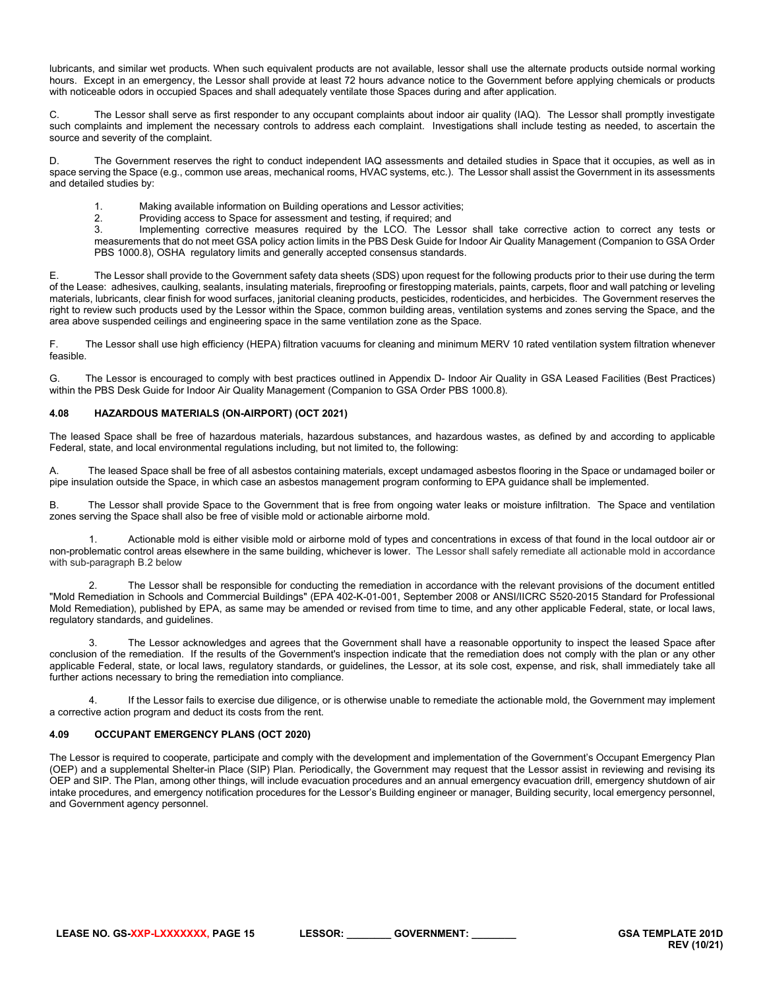lubricants, and similar wet products. When such equivalent products are not available, lessor shall use the alternate products outside normal working hours. Except in an emergency, the Lessor shall provide at least 72 hours advance notice to the Government before applying chemicals or products with noticeable odors in occupied Spaces and shall adequately ventilate those Spaces during and after application.

C. The Lessor shall serve as first responder to any occupant complaints about indoor air quality (IAQ). The Lessor shall promptly investigate such complaints and implement the necessary controls to address each complaint. Investigations shall include testing as needed, to ascertain the source and severity of the complaint.

D. The Government reserves the right to conduct independent IAQ assessments and detailed studies in Space that it occupies, as well as in space serving the Space (e.g., common use areas, mechanical rooms, HVAC systems, etc.). The Lessor shall assist the Government in its assessments and detailed studies by:

- 1. Making available information on Building operations and Lessor activities;
- Providing access to Space for assessment and testing, if required; and

3. Implementing corrective measures required by the LCO. The Lessor shall take corrective action to correct any tests or measurements that do not meet GSA policy action limits in the PBS Desk Guide for Indoor Air Quality Management (Companion to GSA Order PBS 1000.8), OSHA regulatory limits and generally accepted consensus standards.

E. The Lessor shall provide to the Government safety data sheets (SDS) upon request for the following products prior to their use during the term of the Lease: adhesives, caulking, sealants, insulating materials, fireproofing or firestopping materials, paints, carpets, floor and wall patching or leveling materials, lubricants, clear finish for wood surfaces, janitorial cleaning products, pesticides, rodenticides, and herbicides. The Government reserves the right to review such products used by the Lessor within the Space, common building areas, ventilation systems and zones serving the Space, and the area above suspended ceilings and engineering space in the same ventilation zone as the Space.

F. The Lessor shall use high efficiency (HEPA) filtration vacuums for cleaning and minimum MERV 10 rated ventilation system filtration whenever feasible.

G. The Lessor is encouraged to comply with best practices outlined in Appendix D- Indoor Air Quality in GSA Leased Facilities (Best Practices) within the PBS Desk Guide for Indoor Air Quality Management (Companion to GSA Order PBS 1000.8).

### <span id="page-14-0"></span>**4.08 HAZARDOUS MATERIALS (ON-AIRPORT) (OCT 2021)**

The leased Space shall be free of hazardous materials, hazardous substances, and hazardous wastes, as defined by and according to applicable Federal, state, and local environmental regulations including, but not limited to, the following:

A. The leased Space shall be free of all asbestos containing materials, except undamaged asbestos flooring in the Space or undamaged boiler or pipe insulation outside the Space, in which case an asbestos management program conforming to EPA guidance shall be implemented.

B. The Lessor shall provide Space to the Government that is free from ongoing water leaks or moisture infiltration. The Space and ventilation zones serving the Space shall also be free of visible mold or actionable airborne mold.

Actionable mold is either visible mold or airborne mold of types and concentrations in excess of that found in the local outdoor air or non-problematic control areas elsewhere in the same building, whichever is lower. The Lessor shall safely remediate all actionable mold in accordance with sub-paragraph B.2 below

2. The Lessor shall be responsible for conducting the remediation in accordance with the relevant provisions of the document entitled "Mold Remediation in Schools and Commercial Buildings" (EPA 402-K-01-001, September 2008 or ANSI/IICRC S520-2015 Standard for Professional Mold Remediation), published by EPA, as same may be amended or revised from time to time, and any other applicable Federal, state, or local laws, regulatory standards, and guidelines.

The Lessor acknowledges and agrees that the Government shall have a reasonable opportunity to inspect the leased Space after conclusion of the remediation. If the results of the Government's inspection indicate that the remediation does not comply with the plan or any other applicable Federal, state, or local laws, regulatory standards, or guidelines, the Lessor, at its sole cost, expense, and risk, shall immediately take all further actions necessary to bring the remediation into compliance.

4. If the Lessor fails to exercise due diligence, or is otherwise unable to remediate the actionable mold, the Government may implement a corrective action program and deduct its costs from the rent.

## <span id="page-14-1"></span>**4.09 OCCUPANT EMERGENCY PLANS (OCT 2020)**

The Lessor is required to cooperate, participate and comply with the development and implementation of the Government's Occupant Emergency Plan (OEP) and a supplemental Shelter-in Place (SIP) Plan. Periodically, the Government may request that the Lessor assist in reviewing and revising its OEP and SIP. The Plan, among other things, will include evacuation procedures and an annual emergency evacuation drill, emergency shutdown of air intake procedures, and emergency notification procedures for the Lessor's Building engineer or manager, Building security, local emergency personnel, and Government agency personnel.